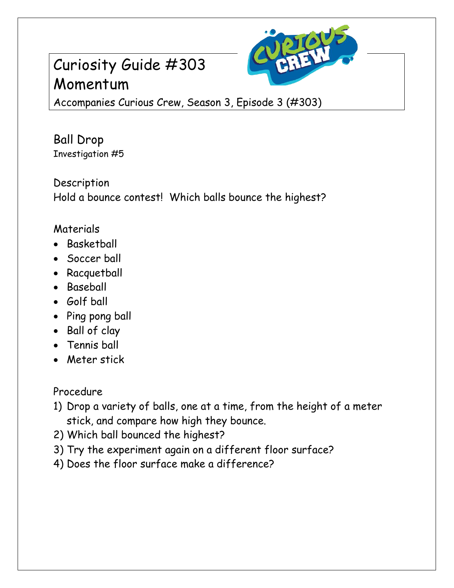## Curiosity Guide #303 Momentum



Accompanies Curious Crew, Season 3, Episode 3 (#303)

Ball Drop Investigation #5

Description Hold a bounce contest! Which balls bounce the highest?

## Materials

- Basketball
- Soccer ball
- Racquetball
- Baseball
- Golf ball
- Ping pong ball
- Ball of clay
- Tennis ball
- Meter stick

Procedure

- 1) Drop a variety of balls, one at a time, from the height of a meter stick, and compare how high they bounce.
- 2) Which ball bounced the highest?
- 3) Try the experiment again on a different floor surface?
- 4) Does the floor surface make a difference?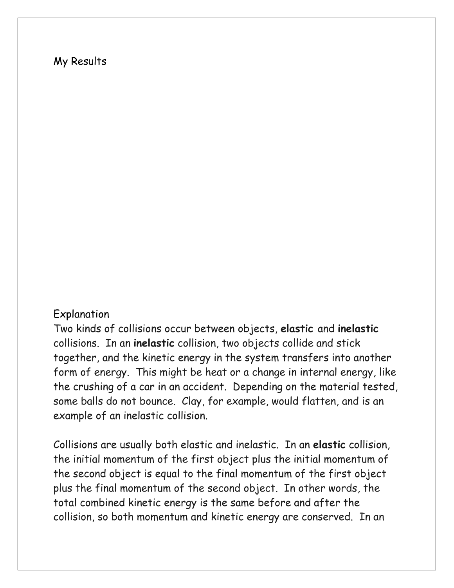## My Results

## Explanation

Two kinds of collisions occur between objects, **elastic** and **inelastic** collisions. In an **inelastic** collision, two objects collide and stick together, and the kinetic energy in the system transfers into another form of energy. This might be heat or a change in internal energy, like the crushing of a car in an accident. Depending on the material tested, some balls do not bounce. Clay, for example, would flatten, and is an example of an inelastic collision.

Collisions are usually both elastic and inelastic. In an **elastic** collision, the initial momentum of the first object plus the initial momentum of the second object is equal to the final momentum of the first object plus the final momentum of the second object. In other words, the total combined kinetic energy is the same before and after the collision, so both momentum and kinetic energy are conserved. In an